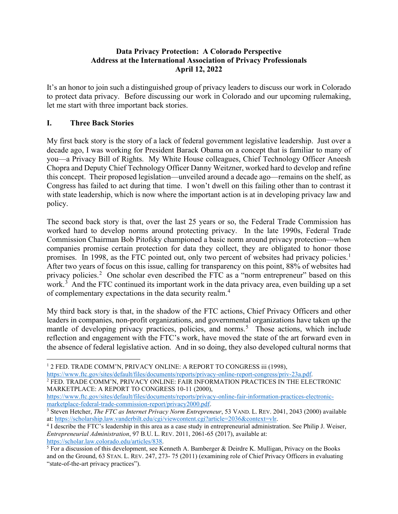### **Data Privacy Protection: A Colorado Perspective Address at the International Association of Privacy Professionals April 12, 2022**

It's an honor to join such a distinguished group of privacy leaders to discuss our work in Colorado to protect data privacy. Before discussing our work in Colorado and our upcoming rulemaking, let me start with three important back stories.

# **I. Three Back Stories**

My first back story is the story of a lack of federal government legislative leadership. Just over a decade ago, I was working for President Barack Obama on a concept that is familiar to many of you—a Privacy Bill of Rights. My White House colleagues, Chief Technology Officer Aneesh Chopra and Deputy Chief Technology Officer Danny Weitzner, worked hard to develop and refine this concept. Their proposed legislation—unveiled around a decade ago—remains on the shelf, as Congress has failed to act during that time. I won't dwell on this failing other than to contrast it with state leadership, which is now where the important action is at in developing privacy law and policy.

The second back story is that, over the last 25 years or so, the Federal Trade Commission has worked hard to develop norms around protecting privacy. In the late 1990s, Federal Trade Commission Chairman Bob Pitofsky championed a basic norm around privacy protection—when companies promise certain protection for data they collect, they are obligated to honor those promises. In [1](#page-0-0)998, as the FTC pointed out, only two percent of websites had privacy policies.<sup>1</sup> After two years of focus on this issue, calling for transparency on this point, 88% of websites had privacy policies.<sup>[2](#page-0-1)</sup> One scholar even described the FTC as a "norm entrepreneur" based on this work.<sup>[3](#page-0-2)</sup> And the FTC continued its important work in the data privacy area, even building up a set of complementary expectations in the data security realm.[4](#page-0-3)

My third back story is that, in the shadow of the FTC actions, Chief Privacy Officers and other leaders in companies, non-profit organizations, and governmental organizations have taken up the mantle of developing privacy practices, policies, and norms.<sup>[5](#page-0-4)</sup> Those actions, which include reflection and engagement with the FTC's work, have moved the state of the art forward even in the absence of federal legislative action. And in so doing, they also developed cultural norms that

[https://www.ftc.gov/sites/default/files/documents/reports/privacy-online-report-congress/priv-23a.pdf.](https://www.ftc.gov/sites/default/files/documents/reports/privacy-online-report-congress/priv-23a.pdf)

<span id="page-0-1"></span><sup>2</sup> FED. TRADE COMM'N, PRIVACY ONLINE: FAIR INFORMATION PRACTICES IN THE ELECTRONIC MARKETPLACE: A REPORT TO CONGRESS 10-11 (2000),

<span id="page-0-0"></span><sup>&</sup>lt;sup>1</sup> 2 FED. TRADE COMM'N, PRIVACY ONLINE: A REPORT TO CONGRESS iii (1998),

[https://www.ftc.gov/sites/default/files/documents/reports/privacy-online-fair-information-practices-electronic](https://www.ftc.gov/sites/default/files/documents/reports/privacy-online-fair-information-practices-electronic-marketplace-federal-trade-commission-report/privacy2000.pdf)[marketplace-federal-trade-commission-report/privacy2000.pdf.](https://www.ftc.gov/sites/default/files/documents/reports/privacy-online-fair-information-practices-electronic-marketplace-federal-trade-commission-report/privacy2000.pdf)

<span id="page-0-2"></span><sup>3</sup> Steven Hetcher, *The FTC as Internet Privacy Norm Entrepreneur*, 53 VAND. L. REV. 2041, 2043 (2000) available at: [https://scholarship.law.vanderbilt.edu/cgi/viewcontent.cgi?article=2036&context=vlr.](https://scholarship.law.vanderbilt.edu/cgi/viewcontent.cgi?article=2036&context=vlr)

<span id="page-0-3"></span><sup>4</sup> I describe the FTC's leadership in this area as a case study in entrepreneurial administration. See Philip J. Weiser, *Entrepreneurial Administration*, 97 B.U. L. REV. 2011, 2061-65 (2017), available at:

<span id="page-0-4"></span>[https://scholar.law.colorado.edu/articles/838.](https://scholar.law.colorado.edu/articles/838)<br><sup>5</sup> For a discussion of this development, see Kenneth A. Bamberger & Deirdre K. Mulligan, Privacy on the Books and on the Ground, 63 STAN. L. REV. 247, 273- 75 (2011) (examining role of Chief Privacy Officers in evaluating "state-of-the-art privacy practices").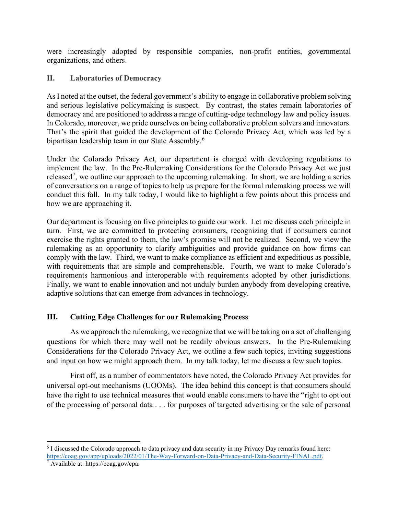were increasingly adopted by responsible companies, non-profit entities, governmental organizations, and others.

#### **II. Laboratories of Democracy**

As I noted at the outset, the federal government's ability to engage in collaborative problem solving and serious legislative policymaking is suspect. By contrast, the states remain laboratories of democracy and are positioned to address a range of cutting-edge technology law and policy issues. In Colorado, moreover, we pride ourselves on being collaborative problem solvers and innovators. That's the spirit that guided the development of the Colorado Privacy Act, which was led by a bipartisan leadership team in our State Assembly.<sup>[6](#page-1-0)</sup>

Under the Colorado Privacy Act, our department is charged with developing regulations to implement the law. In the Pre-Rulemaking Considerations for the Colorado Privacy Act we just released<sup>[7](#page-1-1)</sup>, we outline our approach to the upcoming rulemaking. In short, we are holding a series of conversations on a range of topics to help us prepare for the formal rulemaking process we will conduct this fall. In my talk today, I would like to highlight a few points about this process and how we are approaching it.

Our department is focusing on five principles to guide our work. Let me discuss each principle in turn. First, we are committed to protecting consumers, recognizing that if consumers cannot exercise the rights granted to them, the law's promise will not be realized. Second, we view the rulemaking as an opportunity to clarify ambiguities and provide guidance on how firms can comply with the law. Third, we want to make compliance as efficient and expeditious as possible, with requirements that are simple and comprehensible. Fourth, we want to make Colorado's requirements harmonious and interoperable with requirements adopted by other jurisdictions. Finally, we want to enable innovation and not unduly burden anybody from developing creative, adaptive solutions that can emerge from advances in technology.

## **III. Cutting Edge Challenges for our Rulemaking Process**

As we approach the rulemaking, we recognize that we will be taking on a set of challenging questions for which there may well not be readily obvious answers. In the Pre-Rulemaking Considerations for the Colorado Privacy Act, we outline a few such topics, inviting suggestions and input on how we might approach them. In my talk today, let me discuss a few such topics.

First off, as a number of commentators have noted, the Colorado Privacy Act provides for universal opt-out mechanisms (UOOMs). The idea behind this concept is that consumers should have the right to use technical measures that would enable consumers to have the "right to opt out of the processing of personal data . . . for purposes of targeted advertising or the sale of personal

<span id="page-1-0"></span><sup>6</sup> I discussed the Colorado approach to data privacy and data security in my Privacy Day remarks found here: [https://coag.gov/app/uploads/2022/01/The-Way-Forward-on-Data-Privacy-and-Data-Security-FINAL.pdf.](https://coag.gov/app/uploads/2022/01/The-Way-Forward-on-Data-Privacy-and-Data-Security-FINAL.pdf)

<span id="page-1-1"></span><sup>7</sup> Available at: https://coag.gov/cpa.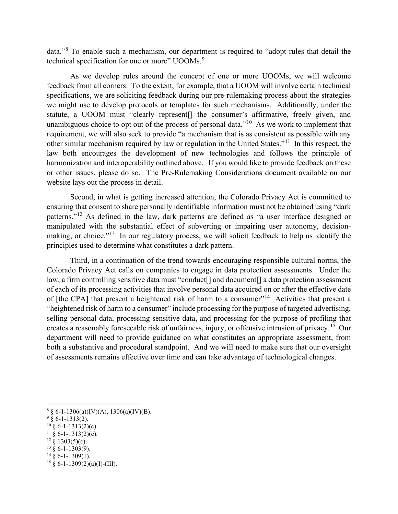data."[8](#page-2-0) To enable such a mechanism, our department is required to "adopt rules that detail the technical specification for one or more" UOOMs.<sup>[9](#page-2-1)</sup>

As we develop rules around the concept of one or more UOOMs, we will welcome feedback from all corners. To the extent, for example, that a UOOM will involve certain technical specifications, we are soliciting feedback during our pre-rulemaking process about the strategies we might use to develop protocols or templates for such mechanisms. Additionally, under the statute, a UOOM must "clearly represent[] the consumer's affirmative, freely given, and unambiguous choice to opt out of the process of personal data."<sup>10</sup> As we work to implement that requirement, we will also seek to provide "a mechanism that is as consistent as possible with any other similar mechanism required by law or regulation in the United States."[11](#page-2-3) In this respect, the law both encourages the development of new technologies and follows the principle of harmonization and interoperability outlined above. If you would like to provide feedback on these or other issues, please do so. The Pre-Rulemaking Considerations document available on our website lays out the process in detail.

Second, in what is getting increased attention, the Colorado Privacy Act is committed to ensuring that consent to share personally identifiable information must not be obtained using "dark patterns."[12](#page-2-4) As defined in the law, dark patterns are defined as "a user interface designed or manipulated with the substantial effect of subverting or impairing user autonomy, decision-making, or choice."<sup>[13](#page-2-5)</sup> In our regulatory process, we will solicit feedback to help us identify the principles used to determine what constitutes a dark pattern.

Third, in a continuation of the trend towards encouraging responsible cultural norms, the Colorado Privacy Act calls on companies to engage in data protection assessments. Under the law, a firm controlling sensitive data must "conduct[] and document[] a data protection assessment of each of its processing activities that involve personal data acquired on or after the effective date of [the CPA] that present a heightened risk of harm to a consumer"<sup>[14](#page-2-6)</sup> Activities that present a "heightened risk of harm to a consumer" include processing for the purpose of targeted advertising, selling personal data, processing sensitive data, and processing for the purpose of profiling that creates a reasonably foreseeable risk of unfairness, injury, or offensive intrusion of privacy.[15](#page-2-7) Our department will need to provide guidance on what constitutes an appropriate assessment, from both a substantive and procedural standpoint. And we will need to make sure that our oversight of assessments remains effective over time and can take advantage of technological changes.

<span id="page-2-0"></span> $8 \S 6$ -1-1306(a)(IV)(A), 1306(a)(IV)(B).

<span id="page-2-1"></span> $9\,$  § 6-1-1313(2).

<span id="page-2-2"></span> $10\,$  § 6-1-1313(2)(c).

<span id="page-2-3"></span> $11 \S 6 - 1 - 1313(2)$ (e).

<span id="page-2-4"></span> $12\frac{8}{9}$  1303(5)(c).

<span id="page-2-6"></span><span id="page-2-5"></span> $13 \times 6 - 1 - 1303(9)$ .  $14 \times 6 - 1 - 1309(1)$ .

<span id="page-2-7"></span> $15 \& 6 - 1 - 1309(2)(a)(I) - (III)$ .